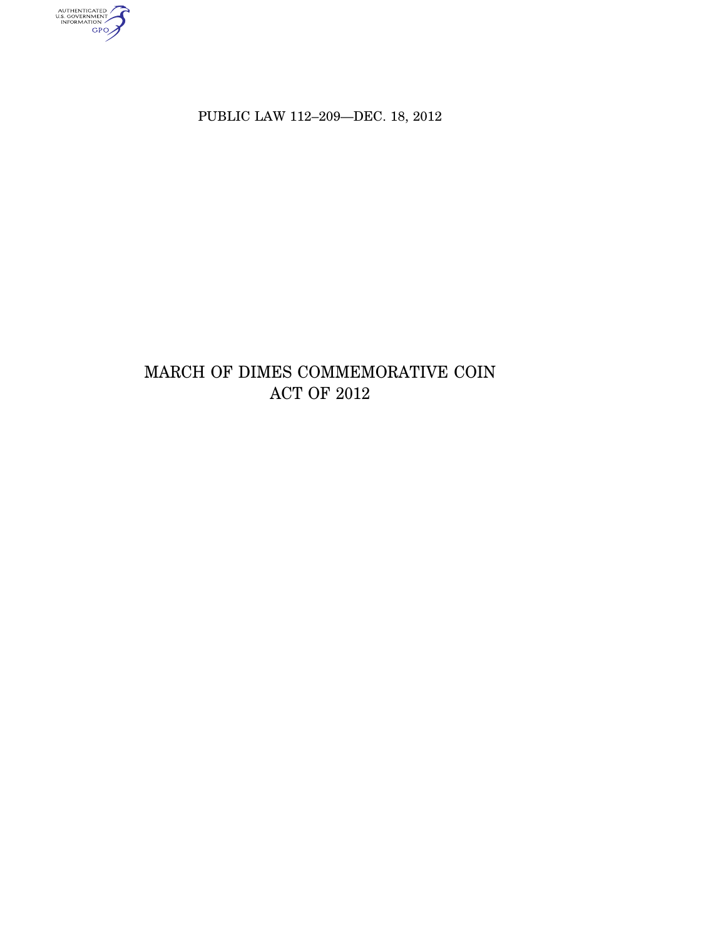AUTHENTICATED<br>U.S. GOVERNMENT<br>INFORMATION<br>GPO

PUBLIC LAW 112-209-DEC. 18, 2012

# MARCH OF DIMES COMMEMORATIVE COIN ACT OF 2012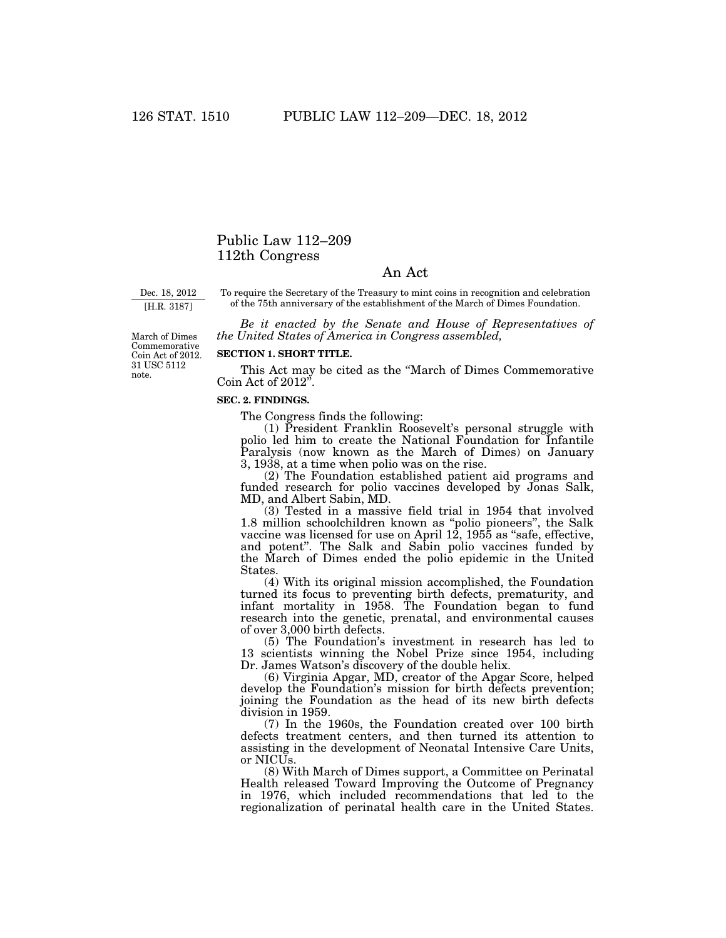# Public Law 112–209 112th Congress

# An Act

Dec. 18, 2012

[H.R. 3187]

To require the Secretary of the Treasury to mint coins in recognition and celebration of the 75th anniversary of the establishment of the March of Dimes Foundation.

*Be it enacted by the Senate and House of Representatives of the United States of America in Congress assembled,* 

March of Dimes Commemorative Coin Act of 2012. 31 USC 5112 note.

# **SECTION 1. SHORT TITLE.**

This Act may be cited as the ''March of Dimes Commemorative Coin Act of 2012''.

#### **SEC. 2. FINDINGS.**

The Congress finds the following:

(1) President Franklin Roosevelt's personal struggle with polio led him to create the National Foundation for Infantile Paralysis (now known as the March of Dimes) on January 3, 1938, at a time when polio was on the rise.

(2) The Foundation established patient aid programs and funded research for polio vaccines developed by Jonas Salk, MD, and Albert Sabin, MD.

(3) Tested in a massive field trial in 1954 that involved 1.8 million schoolchildren known as ''polio pioneers'', the Salk vaccine was licensed for use on April 12, 1955 as "safe, effective, and potent''. The Salk and Sabin polio vaccines funded by the March of Dimes ended the polio epidemic in the United States.

(4) With its original mission accomplished, the Foundation turned its focus to preventing birth defects, prematurity, and infant mortality in 1958. The Foundation began to fund research into the genetic, prenatal, and environmental causes of over 3,000 birth defects.

(5) The Foundation's investment in research has led to 13 scientists winning the Nobel Prize since 1954, including Dr. James Watson's discovery of the double helix.

(6) Virginia Apgar, MD, creator of the Apgar Score, helped develop the Foundation's mission for birth defects prevention; joining the Foundation as the head of its new birth defects division in 1959.

(7) In the 1960s, the Foundation created over 100 birth defects treatment centers, and then turned its attention to assisting in the development of Neonatal Intensive Care Units, or NICUs.

(8) With March of Dimes support, a Committee on Perinatal Health released Toward Improving the Outcome of Pregnancy in 1976, which included recommendations that led to the regionalization of perinatal health care in the United States.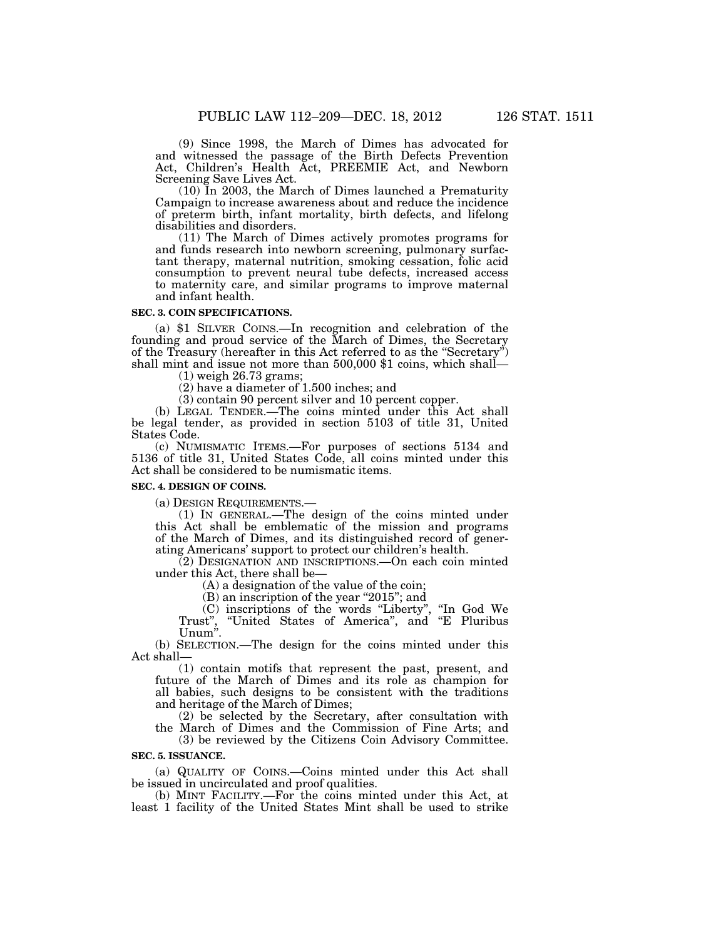(9) Since 1998, the March of Dimes has advocated for and witnessed the passage of the Birth Defects Prevention Act, Children's Health Act, PREEMIE Act, and Newborn Screening Save Lives Act.

(10) In 2003, the March of Dimes launched a Prematurity Campaign to increase awareness about and reduce the incidence of preterm birth, infant mortality, birth defects, and lifelong disabilities and disorders.

(11) The March of Dimes actively promotes programs for and funds research into newborn screening, pulmonary surfactant therapy, maternal nutrition, smoking cessation, folic acid consumption to prevent neural tube defects, increased access to maternity care, and similar programs to improve maternal and infant health.

#### **SEC. 3. COIN SPECIFICATIONS.**

(a) \$1 SILVER COINS.—In recognition and celebration of the founding and proud service of the March of Dimes, the Secretary of the Treasury (hereafter in this Act referred to as the ''Secretary'') shall mint and issue not more than 500,000 \$1 coins, which shall—

(1) weigh 26.73 grams;

(2) have a diameter of 1.500 inches; and

(3) contain 90 percent silver and 10 percent copper.

(b) LEGAL TENDER.—The coins minted under this Act shall be legal tender, as provided in section 5103 of title 31, United States Code.

(c) NUMISMATIC ITEMS.—For purposes of sections 5134 and 5136 of title 31, United States Code, all coins minted under this Act shall be considered to be numismatic items.

#### **SEC. 4. DESIGN OF COINS.**

(a) DESIGN REQUIREMENTS.—

(1) IN GENERAL.—The design of the coins minted under this Act shall be emblematic of the mission and programs of the March of Dimes, and its distinguished record of generating Americans' support to protect our children's health.

(2) DESIGNATION AND INSCRIPTIONS.—On each coin minted under this Act, there shall be—

(A) a designation of the value of the coin;

(B) an inscription of the year ''2015''; and

(C) inscriptions of the words ''Liberty'', ''In God We Trust", "United States of America", and "E Pluribus Unum''.

(b) SELECTION.—The design for the coins minted under this Act shall—

(1) contain motifs that represent the past, present, and future of the March of Dimes and its role as champion for all babies, such designs to be consistent with the traditions and heritage of the March of Dimes;

(2) be selected by the Secretary, after consultation with the March of Dimes and the Commission of Fine Arts; and

(3) be reviewed by the Citizens Coin Advisory Committee. **SEC. 5. ISSUANCE.** 

(a) QUALITY OF COINS.—Coins minted under this Act shall be issued in uncirculated and proof qualities.

(b) MINT FACILITY.—For the coins minted under this Act, at least 1 facility of the United States Mint shall be used to strike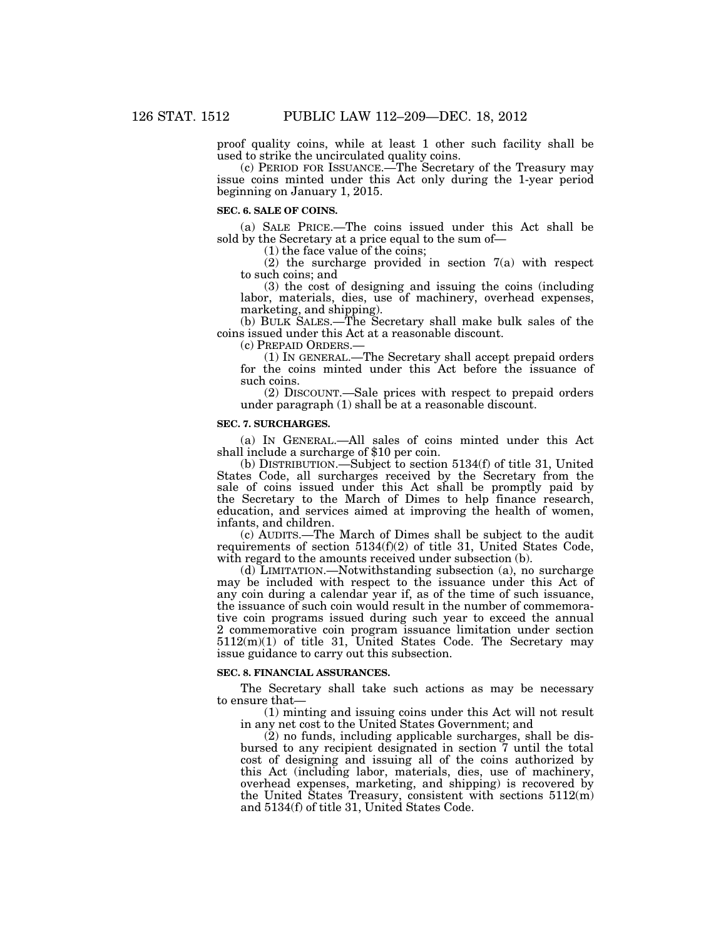proof quality coins, while at least 1 other such facility shall be used to strike the uncirculated quality coins.

(c) PERIOD FOR ISSUANCE.—The Secretary of the Treasury may issue coins minted under this Act only during the 1-year period beginning on January 1, 2015.

#### **SEC. 6. SALE OF COINS.**

(a) SALE PRICE.—The coins issued under this Act shall be sold by the Secretary at a price equal to the sum of—

(1) the face value of the coins;

(2) the surcharge provided in section 7(a) with respect to such coins; and

(3) the cost of designing and issuing the coins (including labor, materials, dies, use of machinery, overhead expenses, marketing, and shipping).

(b) BULK SALES.—The Secretary shall make bulk sales of the coins issued under this Act at a reasonable discount.

(c) PREPAID ORDERS.—

(1) IN GENERAL.—The Secretary shall accept prepaid orders for the coins minted under this Act before the issuance of such coins.

(2) DISCOUNT.—Sale prices with respect to prepaid orders under paragraph (1) shall be at a reasonable discount.

## **SEC. 7. SURCHARGES.**

(a) IN GENERAL.—All sales of coins minted under this Act shall include a surcharge of \$10 per coin.

(b) DISTRIBUTION.—Subject to section 5134(f) of title 31, United States Code, all surcharges received by the Secretary from the sale of coins issued under this Act shall be promptly paid by the Secretary to the March of Dimes to help finance research, education, and services aimed at improving the health of women, infants, and children.

(c) AUDITS.—The March of Dimes shall be subject to the audit requirements of section 5134(f)(2) of title 31, United States Code, with regard to the amounts received under subsection (b).

(d) LIMITATION.—Notwithstanding subsection (a), no surcharge may be included with respect to the issuance under this Act of any coin during a calendar year if, as of the time of such issuance, the issuance of such coin would result in the number of commemorative coin programs issued during such year to exceed the annual 2 commemorative coin program issuance limitation under section 5112(m)(1) of title 31, United States Code. The Secretary may issue guidance to carry out this subsection.

## **SEC. 8. FINANCIAL ASSURANCES.**

The Secretary shall take such actions as may be necessary to ensure that—

(1) minting and issuing coins under this Act will not result in any net cost to the United States Government; and

(2) no funds, including applicable surcharges, shall be disbursed to any recipient designated in section 7 until the total cost of designing and issuing all of the coins authorized by this Act (including labor, materials, dies, use of machinery, overhead expenses, marketing, and shipping) is recovered by the United States Treasury, consistent with sections 5112(m) and 5134(f) of title 31, United States Code.